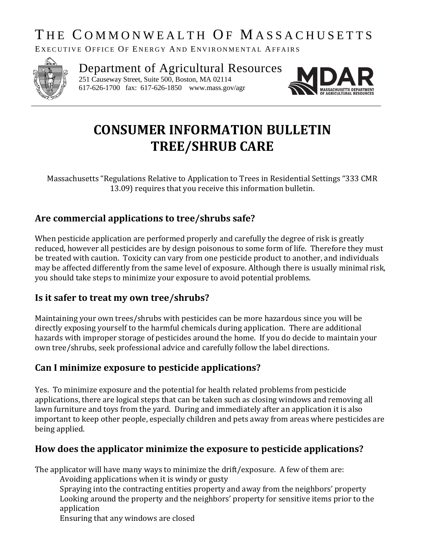# THE COMMONWEALTH OF MASSACHUSETTS

EXECUTIVE OFFICE OF ENERGY AND ENVIRONMENTAL AFFAIRS



Department of Agricultural Resources 251 Causeway Street, Suite 500, Boston, MA 02114

617-626-1700 fax: 617-626-1850 www.mass.gov/agr



# **CONSUMER INFORMATION BULLETIN TREE/SHRUB CARE**

Massachusetts "Regulations Relative to Application to Trees in Residential Settings "333 CMR 13.09) requires that you receive this information bulletin.

## **Are commercial applications to tree/shrubs safe?**

When pesticide application are performed properly and carefully the degree of risk is greatly reduced, however all pesticides are by design poisonous to some form of life. Therefore they must be treated with caution. Toxicity can vary from one pesticide product to another, and individuals may be affected differently from the same level of exposure. Although there is usually minimal risk, you should take steps to minimize your exposure to avoid potential problems.

### **Is it safer to treat my own tree/shrubs?**

Maintaining your own trees/shrubs with pesticides can be more hazardous since you will be directly exposing yourself to the harmful chemicals during application. There are additional hazards with improper storage of pesticides around the home. If you do decide to maintain your own tree/shrubs, seek professional advice and carefully follow the label directions.

### **Can I minimize exposure to pesticide applications?**

Yes. To minimize exposure and the potential for health related problems from pesticide applications, there are logical steps that can be taken such as closing windows and removing all lawn furniture and toys from the yard. During and immediately after an application it is also important to keep other people, especially children and pets away from areas where pesticides are being applied.

## **How does the applicator minimize the exposure to pesticide applications?**

The applicator will have many ways to minimize the drift/exposure. A few of them are:

Avoiding applications when it is windy or gusty

Spraying into the contracting entities property and away from the neighbors' property Looking around the property and the neighbors' property for sensitive items prior to the application

Ensuring that any windows are closed